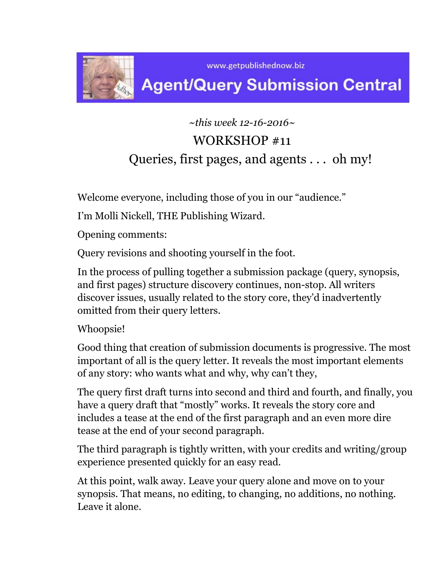

www.getpublishednow.biz

# **Agent/Query Submission Central**

 *~this week 12-16-2016~* WORKSHOP #11

Queries, first pages, and agents . . . oh my!

Welcome everyone, including those of you in our "audience."

I'm Molli Nickell, THE Publishing Wizard.

Opening comments:

Query revisions and shooting yourself in the foot.

In the process of pulling together a submission package (query, synopsis, and first pages) structure discovery continues, non-stop. All writers discover issues, usually related to the story core, they'd inadvertently omitted from their query letters.

Whoopsie!

Good thing that creation of submission documents is progressive. The most important of all is the query letter. It reveals the most important elements of any story: who wants what and why, why can't they,

The query first draft turns into second and third and fourth, and finally, you have a query draft that "mostly" works. It reveals the story core and includes a tease at the end of the first paragraph and an even more dire tease at the end of your second paragraph.

The third paragraph is tightly written, with your credits and writing/group experience presented quickly for an easy read.

At this point, walk away. Leave your query alone and move on to your synopsis. That means, no editing, to changing, no additions, no nothing. Leave it alone.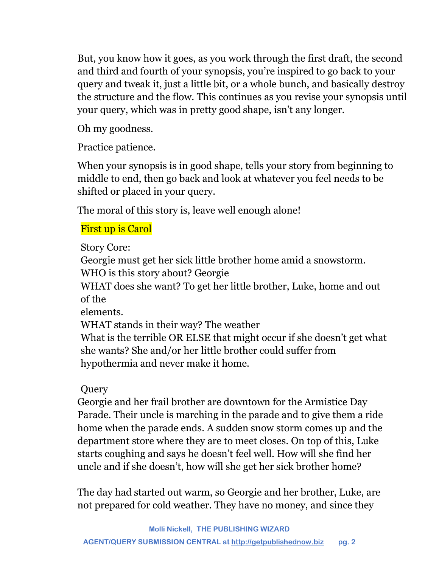But, you know how it goes, as you work through the first draft, the second and third and fourth of your synopsis, you're inspired to go back to your query and tweak it, just a little bit, or a whole bunch, and basically destroy the structure and the flow. This continues as you revise your synopsis until your query, which was in pretty good shape, isn't any longer.

Oh my goodness.

Practice patience.

When your synopsis is in good shape, tells your story from beginning to middle to end, then go back and look at whatever you feel needs to be shifted or placed in your query.

The moral of this story is, leave well enough alone!

# First up is Carol

Story Core:

Georgie must get her sick little brother home amid a snowstorm. WHO is this story about? Georgie

WHAT does she want? To get her little brother, Luke, home and out of the

elements.

WHAT stands in their way? The weather

What is the terrible OR ELSE that might occur if she doesn't get what she wants? She and/or her little brother could suffer from hypothermia and never make it home.

## **Query**

Georgie and her frail brother are downtown for the Armistice Day Parade. Their uncle is marching in the parade and to give them a ride home when the parade ends. A sudden snow storm comes up and the department store where they are to meet closes. On top of this, Luke starts coughing and says he doesn't feel well. How will she find her uncle and if she doesn't, how will she get her sick brother home?

The day had started out warm, so Georgie and her brother, Luke, are not prepared for cold weather. They have no money, and since they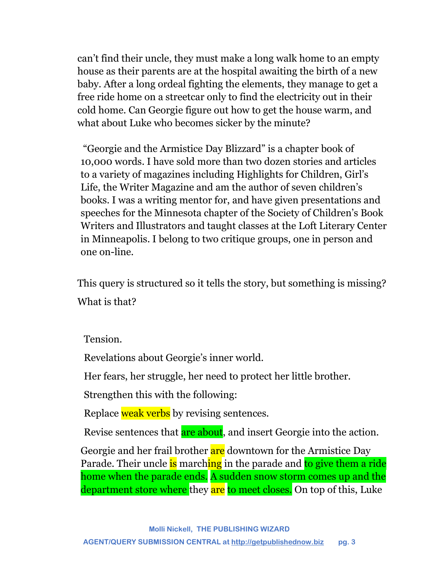can't find their uncle, they must make a long walk home to an empty house as their parents are at the hospital awaiting the birth of a new baby. After a long ordeal fighting the elements, they manage to get a free ride home on a streetcar only to find the electricity out in their cold home. Can Georgie figure out how to get the house warm, and what about Luke who becomes sicker by the minute?

"Georgie and the Armistice Day Blizzard" is a chapter book of 10,000 words. I have sold more than two dozen stories and articles to a variety of magazines including Highlights for Children, Girl's Life, the Writer Magazine and am the author of seven children's books. I was a writing mentor for, and have given presentations and speeches for the Minnesota chapter of the Society of Children's Book Writers and Illustrators and taught classes at the Loft Literary Center in Minneapolis. I belong to two critique groups, one in person and one on-line.

This query is structured so it tells the story, but something is missing? What is that?

Tension.

Revelations about Georgie's inner world.

Her fears, her struggle, her need to protect her little brother.

Strengthen this with the following:

Replace weak verbs by revising sentences.

Revise sentences that are about, and insert Georgie into the action.

Georgie and her frail brother are downtown for the Armistice Day Parade. Their uncle is marching in the parade and to give them a ride home when the parade ends. A sudden snow storm comes up and the department store where they are to meet closes. On top of this, Luke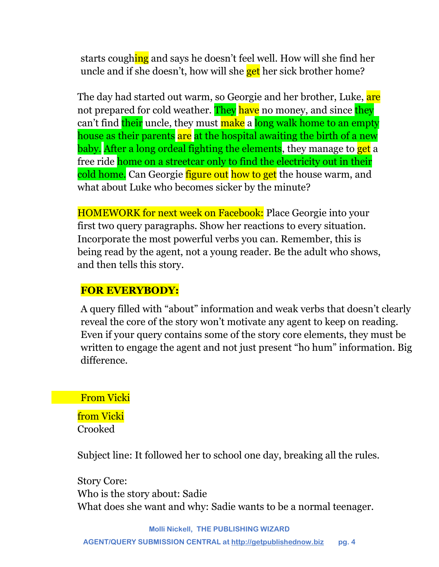starts coughing and says he doesn't feel well. How will she find her uncle and if she doesn't, how will she **get** her sick brother home?

The day had started out warm, so Georgie and her brother, Luke, are not prepared for cold weather. They have no money, and since they can't find their uncle, they must make a long walk home to an empty house as their parents are at the hospital awaiting the birth of a new baby. After a long ordeal fighting the elements, they manage to get a free ride home on a streetcar only to find the electricity out in their cold home. Can Georgie figure out how to get the house warm, and what about Luke who becomes sicker by the minute?

HOMEWORK for next week on Facebook: Place Georgie into your first two query paragraphs. Show her reactions to every situation. Incorporate the most powerful verbs you can. Remember, this is being read by the agent, not a young reader. Be the adult who shows, and then tells this story.

## **FOR EVERYBODY:**

A query filled with "about" information and weak verbs that doesn't clearly reveal the core of the story won't motivate any agent to keep on reading. Even if your query contains some of the story core elements, they must be written to engage the agent and not just present "ho hum" information. Big difference.

#### **From Vicki**

from Vicki Crooked

Subject line: It followed her to school one day, breaking all the rules.

Story Core: Who is the story about: Sadie What does she want and why: Sadie wants to be a normal teenager.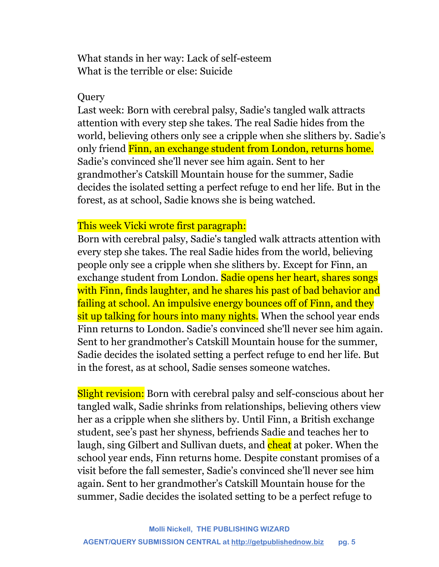What stands in her way: Lack of self-esteem What is the terrible or else: Suicide

#### Query

Last week: Born with cerebral palsy, Sadie's tangled walk attracts attention with every step she takes. The real Sadie hides from the world, believing others only see a cripple when she slithers by. Sadie's only friend Finn, an exchange student from London, returns home. Sadie's convinced she'll never see him again. Sent to her grandmother's Catskill Mountain house for the summer, Sadie decides the isolated setting a perfect refuge to end her life. But in the forest, as at school, Sadie knows she is being watched.

#### This week Vicki wrote first paragraph:

Born with cerebral palsy, Sadie's tangled walk attracts attention with every step she takes. The real Sadie hides from the world, believing people only see a cripple when she slithers by. Except for Finn, an exchange student from London. Sadie opens her heart, shares songs with Finn, finds laughter, and he shares his past of bad behavior and failing at school. An impulsive energy bounces off of Finn, and they sit up talking for hours into many nights. When the school year ends Finn returns to London. Sadie's convinced she'll never see him again. Sent to her grandmother's Catskill Mountain house for the summer, Sadie decides the isolated setting a perfect refuge to end her life. But in the forest, as at school, Sadie senses someone watches.

Slight revision: Born with cerebral palsy and self-conscious about her tangled walk, Sadie shrinks from relationships, believing others view her as a cripple when she slithers by. Until Finn, a British exchange student, see's past her shyness, befriends Sadie and teaches her to laugh, sing Gilbert and Sullivan duets, and cheat at poker. When the school year ends, Finn returns home. Despite constant promises of a visit before the fall semester, Sadie's convinced she'll never see him again. Sent to her grandmother's Catskill Mountain house for the summer, Sadie decides the isolated setting to be a perfect refuge to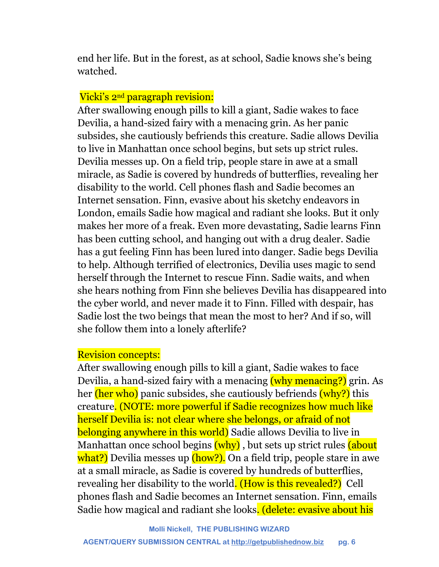end her life. But in the forest, as at school, Sadie knows she's being watched.

#### Vicki's 2nd paragraph revision:

After swallowing enough pills to kill a giant, Sadie wakes to face Devilia, a hand-sized fairy with a menacing grin. As her panic subsides, she cautiously befriends this creature. Sadie allows Devilia to live in Manhattan once school begins, but sets up strict rules. Devilia messes up. On a field trip, people stare in awe at a small miracle, as Sadie is covered by hundreds of butterflies, revealing her disability to the world. Cell phones flash and Sadie becomes an Internet sensation. Finn, evasive about his sketchy endeavors in London, emails Sadie how magical and radiant she looks. But it only makes her more of a freak. Even more devastating, Sadie learns Finn has been cutting school, and hanging out with a drug dealer. Sadie has a gut feeling Finn has been lured into danger. Sadie begs Devilia to help. Although terrified of electronics, Devilia uses magic to send herself through the Internet to rescue Finn. Sadie waits, and when she hears nothing from Finn she believes Devilia has disappeared into the cyber world, and never made it to Finn. Filled with despair, has Sadie lost the two beings that mean the most to her? And if so, will she follow them into a lonely afterlife?

#### Revision concepts:

After swallowing enough pills to kill a giant, Sadie wakes to face Devilia, a hand-sized fairy with a menacing (why menacing?) grin. As her (her who) panic subsides, she cautiously befriends (why?) this creature. (NOTE: more powerful if Sadie recognizes how much like herself Devilia is: not clear where she belongs, or afraid of not belonging anywhere in this world) Sadie allows Devilia to live in Manhattan once school begins (why), but sets up strict rules (about what?) Devilia messes up (how?). On a field trip, people stare in awe at a small miracle, as Sadie is covered by hundreds of butterflies, revealing her disability to the world. (How is this revealed?) Cell phones flash and Sadie becomes an Internet sensation. Finn, emails Sadie how magical and radiant she looks. (delete: evasive about his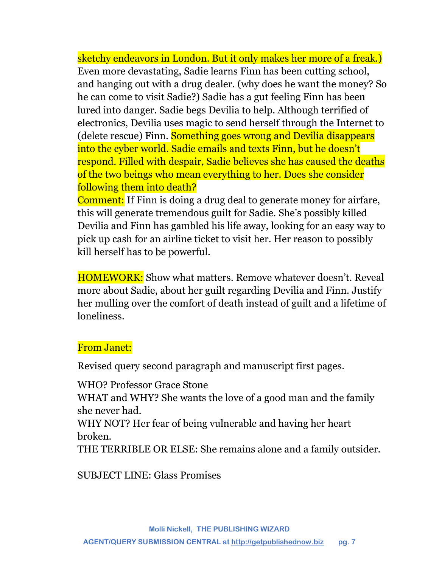sketchy endeavors in London. But it only makes her more of a freak.) Even more devastating, Sadie learns Finn has been cutting school, and hanging out with a drug dealer. (why does he want the money? So he can come to visit Sadie?) Sadie has a gut feeling Finn has been lured into danger. Sadie begs Devilia to help. Although terrified of electronics, Devilia uses magic to send herself through the Internet to (delete rescue) Finn. Something goes wrong and Devilia disappears into the cyber world. Sadie emails and texts Finn, but he doesn't respond. Filled with despair, Sadie believes she has caused the deaths of the two beings who mean everything to her. Does she consider following them into death?

Comment: If Finn is doing a drug deal to generate money for airfare, this will generate tremendous guilt for Sadie. She's possibly killed Devilia and Finn has gambled his life away, looking for an easy way to pick up cash for an airline ticket to visit her. Her reason to possibly kill herself has to be powerful.

HOMEWORK: Show what matters. Remove whatever doesn't. Reveal more about Sadie, about her guilt regarding Devilia and Finn. Justify her mulling over the comfort of death instead of guilt and a lifetime of loneliness.

#### From Janet:

Revised query second paragraph and manuscript first pages.

WHO? Professor Grace Stone

WHAT and WHY? She wants the love of a good man and the family she never had.

WHY NOT? Her fear of being vulnerable and having her heart broken.

THE TERRIBLE OR ELSE: She remains alone and a family outsider.

SUBJECT LINE: Glass Promises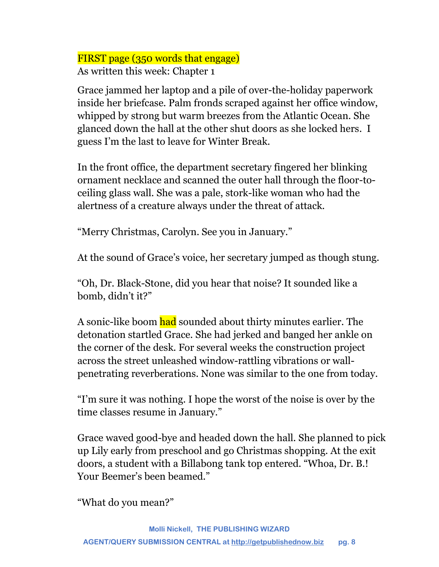# FIRST page (350 words that engage) As written this week: Chapter 1

Grace jammed her laptop and a pile of over-the-holiday paperwork inside her briefcase. Palm fronds scraped against her office window, whipped by strong but warm breezes from the Atlantic Ocean. She glanced down the hall at the other shut doors as she locked hers. I guess I'm the last to leave for Winter Break.

In the front office, the department secretary fingered her blinking ornament necklace and scanned the outer hall through the floor-toceiling glass wall. She was a pale, stork-like woman who had the alertness of a creature always under the threat of attack.

"Merry Christmas, Carolyn. See you in January."

At the sound of Grace's voice, her secretary jumped as though stung.

"Oh, Dr. Black-Stone, did you hear that noise? It sounded like a bomb, didn't it?"

A sonic-like boom had sounded about thirty minutes earlier. The detonation startled Grace. She had jerked and banged her ankle on the corner of the desk. For several weeks the construction project across the street unleashed window-rattling vibrations or wallpenetrating reverberations. None was similar to the one from today.

"I'm sure it was nothing. I hope the worst of the noise is over by the time classes resume in January."

Grace waved good-bye and headed down the hall. She planned to pick up Lily early from preschool and go Christmas shopping. At the exit doors, a student with a Billabong tank top entered. "Whoa, Dr. B.! Your Beemer's been beamed."

"What do you mean?"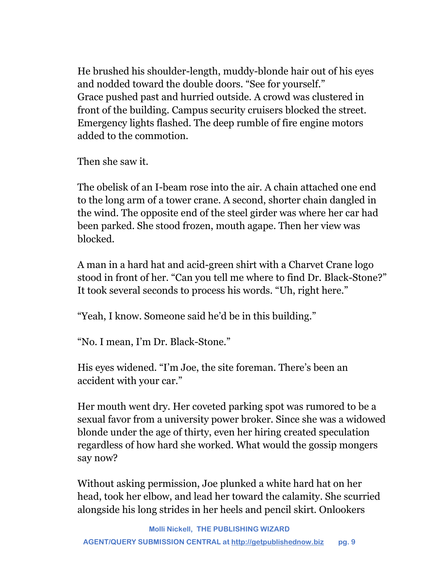He brushed his shoulder-length, muddy-blonde hair out of his eyes and nodded toward the double doors. "See for yourself." Grace pushed past and hurried outside. A crowd was clustered in front of the building. Campus security cruisers blocked the street. Emergency lights flashed. The deep rumble of fire engine motors added to the commotion.

Then she saw it.

The obelisk of an I-beam rose into the air. A chain attached one end to the long arm of a tower crane. A second, shorter chain dangled in the wind. The opposite end of the steel girder was where her car had been parked. She stood frozen, mouth agape. Then her view was blocked.

A man in a hard hat and acid-green shirt with a Charvet Crane logo stood in front of her. "Can you tell me where to find Dr. Black-Stone?" It took several seconds to process his words. "Uh, right here."

"Yeah, I know. Someone said he'd be in this building."

"No. I mean, I'm Dr. Black-Stone."

His eyes widened. "I'm Joe, the site foreman. There's been an accident with your car."

Her mouth went dry. Her coveted parking spot was rumored to be a sexual favor from a university power broker. Since she was a widowed blonde under the age of thirty, even her hiring created speculation regardless of how hard she worked. What would the gossip mongers say now?

Without asking permission, Joe plunked a white hard hat on her head, took her elbow, and lead her toward the calamity. She scurried alongside his long strides in her heels and pencil skirt. Onlookers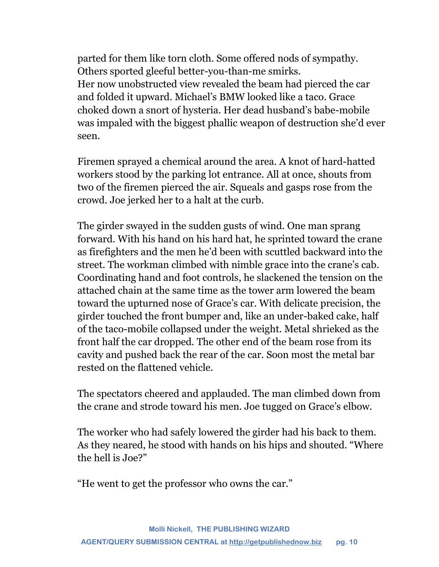parted for them like torn cloth. Some offered nods of sympathy. Others sported gleeful better-you-than-me smirks. Her now unobstructed view revealed the beam had pierced the car and folded it upward. Michael's BMW looked like a taco. Grace choked down a snort of hysteria. Her dead husband's babe-mobile was impaled with the biggest phallic weapon of destruction she'd ever seen.

Firemen sprayed a chemical around the area. A knot of hard-hatted workers stood by the parking lot entrance. All at once, shouts from two of the firemen pierced the air. Squeals and gasps rose from the crowd. Joe jerked her to a halt at the curb.

The girder swayed in the sudden gusts of wind. One man sprang forward. With his hand on his hard hat, he sprinted toward the crane as firefighters and the men he'd been with scuttled backward into the street. The workman climbed with nimble grace into the crane's cab. Coordinating hand and foot controls, he slackened the tension on the attached chain at the same time as the tower arm lowered the beam toward the upturned nose of Grace's car. With delicate precision, the girder touched the front bumper and, like an under-baked cake, half of the taco-mobile collapsed under the weight. Metal shrieked as the front half the car dropped. The other end of the beam rose from its cavity and pushed back the rear of the car. Soon most the metal bar rested on the flattened vehicle.

The spectators cheered and applauded. The man climbed down from the crane and strode toward his men. Joe tugged on Grace's elbow.

The worker who had safely lowered the girder had his back to them. As they neared, he stood with hands on his hips and shouted. "Where the hell is Joe?"

"He went to get the professor who owns the car."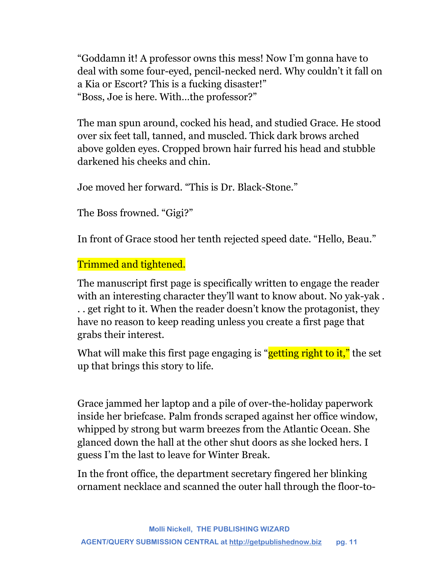"Goddamn it! A professor owns this mess! Now I'm gonna have to deal with some four-eyed, pencil-necked nerd. Why couldn't it fall on a Kia or Escort? This is a fucking disaster!" "Boss, Joe is here. With…the professor?"

The man spun around, cocked his head, and studied Grace. He stood over six feet tall, tanned, and muscled. Thick dark brows arched above golden eyes. Cropped brown hair furred his head and stubble darkened his cheeks and chin.

Joe moved her forward. "This is Dr. Black-Stone."

The Boss frowned. "Gigi?"

In front of Grace stood her tenth rejected speed date. "Hello, Beau."

# Trimmed and tightened.

The manuscript first page is specifically written to engage the reader with an interesting character they'll want to know about. No yak-yak . . . get right to it. When the reader doesn't know the protagonist, they have no reason to keep reading unless you create a first page that grabs their interest.

What will make this first page engaging is "getting right to it," the set up that brings this story to life.

Grace jammed her laptop and a pile of over-the-holiday paperwork inside her briefcase. Palm fronds scraped against her office window, whipped by strong but warm breezes from the Atlantic Ocean. She glanced down the hall at the other shut doors as she locked hers. I guess I'm the last to leave for Winter Break.

In the front office, the department secretary fingered her blinking ornament necklace and scanned the outer hall through the floor-to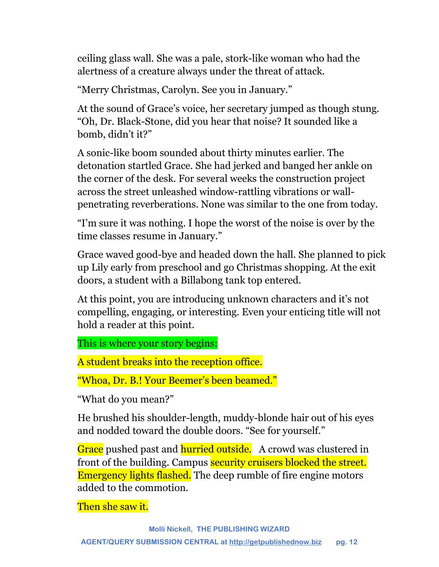ceiling glass wall. She was a pale, stork-like woman who had the alertness of a creature always under the threat of attack.

"Merry Christmas, Carolyn. See you in January."

At the sound of Grace's voice, her secretary jumped as though stung. "Oh, Dr. Black-Stone, did you hear that noise? It sounded like a bomb, didn't it?"

A sonic-like boom sounded about thirty minutes earlier. The detonation startled Grace. She had jerked and banged her ankle on the corner of the desk. For several weeks the construction project across the street unleashed window-rattling vibrations or wallpenetrating reverberations. None was similar to the one from today.

"I'm sure it was nothing. I hope the worst of the noise is over by the time classes resume in January."

Grace waved good-bye and headed down the hall. She planned to pick up Lily early from preschool and go Christmas shopping. At the exit doors, a student with a Billabong tank top entered.

At this point, you are introducing unknown characters and it's not compelling, engaging, or interesting. Even your enticing title will not hold a reader at this point.

This is where your story begins:

A student breaks into the reception office.

"Whoa, Dr. B.! Your Beemer's been beamed."

"What do you mean?"

He brushed his shoulder-length, muddy-blonde hair out of his eyes and nodded toward the double doors. "See for yourself."

Grace pushed past and hurried outside. A crowd was clustered in front of the building. Campus **security cruisers blocked the street.** Emergency lights flashed. The deep rumble of fire engine motors added to the commotion.

Then she saw it.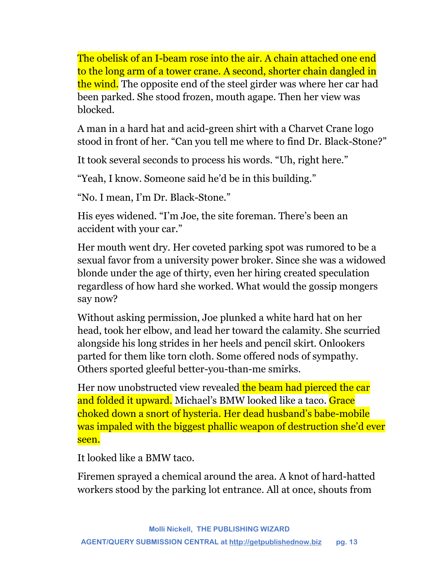The obelisk of an I-beam rose into the air. A chain attached one end to the long arm of a tower crane. A second, shorter chain dangled in the wind. The opposite end of the steel girder was where her car had been parked. She stood frozen, mouth agape. Then her view was blocked.

A man in a hard hat and acid-green shirt with a Charvet Crane logo stood in front of her. "Can you tell me where to find Dr. Black-Stone?"

It took several seconds to process his words. "Uh, right here."

"Yeah, I know. Someone said he'd be in this building."

"No. I mean, I'm Dr. Black-Stone."

His eyes widened. "I'm Joe, the site foreman. There's been an accident with your car."

Her mouth went dry. Her coveted parking spot was rumored to be a sexual favor from a university power broker. Since she was a widowed blonde under the age of thirty, even her hiring created speculation regardless of how hard she worked. What would the gossip mongers say now?

Without asking permission, Joe plunked a white hard hat on her head, took her elbow, and lead her toward the calamity. She scurried alongside his long strides in her heels and pencil skirt. Onlookers parted for them like torn cloth. Some offered nods of sympathy. Others sported gleeful better-you-than-me smirks.

Her now unobstructed view revealed the beam had pierced the car and folded it upward. Michael's BMW looked like a taco. Grace choked down a snort of hysteria. Her dead husband's babe-mobile was impaled with the biggest phallic weapon of destruction she'd ever seen.

It looked like a BMW taco.

Firemen sprayed a chemical around the area. A knot of hard-hatted workers stood by the parking lot entrance. All at once, shouts from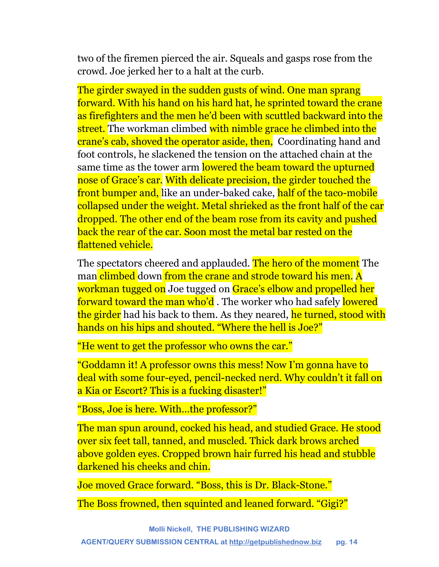two of the firemen pierced the air. Squeals and gasps rose from the crowd. Joe jerked her to a halt at the curb.

The girder swayed in the sudden gusts of wind. One man sprang forward. With his hand on his hard hat, he sprinted toward the crane as firefighters and the men he'd been with scuttled backward into the street. The workman climbed with nimble grace he climbed into the crane's cab, shoved the operator aside, then, Coordinating hand and foot controls, he slackened the tension on the attached chain at the same time as the tower arm lowered the beam toward the upturned nose of Grace's car. With delicate precision, the girder touched the front bumper and, like an under-baked cake, half of the taco-mobile collapsed under the weight. Metal shrieked as the front half of the car dropped. The other end of the beam rose from its cavity and pushed back the rear of the car. Soon most the metal bar rested on the flattened vehicle.

The spectators cheered and applauded. The hero of the moment The man climbed down from the crane and strode toward his men. A workman tugged on Joe tugged on Grace's elbow and propelled her forward toward the man who'd. The worker who had safely lowered the girder had his back to them. As they neared, he turned, stood with hands on his hips and shouted. "Where the hell is Joe?"

"He went to get the professor who owns the car."

"Goddamn it! A professor owns this mess! Now I'm gonna have to deal with some four-eyed, pencil-necked nerd. Why couldn't it fall on a Kia or Escort? This is a fucking disaster!"

"Boss, Joe is here. With…the professor?"

The man spun around, cocked his head, and studied Grace. He stood over six feet tall, tanned, and muscled. Thick dark brows arched above golden eyes. Cropped brown hair furred his head and stubble darkened his cheeks and chin.

Joe moved Grace forward. "Boss, this is Dr. Black-Stone."

The Boss frowned, then squinted and leaned forward. "Gigi?"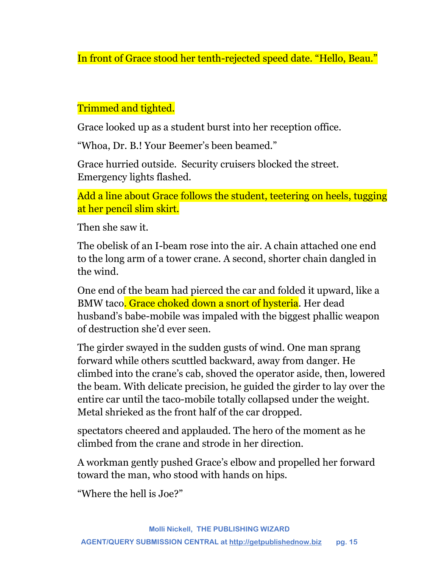In front of Grace stood her tenth-rejected speed date. "Hello, Beau."

# Trimmed and tighted.

Grace looked up as a student burst into her reception office.

"Whoa, Dr. B.! Your Beemer's been beamed."

Grace hurried outside. Security cruisers blocked the street. Emergency lights flashed.

Add a line about Grace follows the student, teetering on heels, tugging at her pencil slim skirt.

Then she saw it.

The obelisk of an I-beam rose into the air. A chain attached one end to the long arm of a tower crane. A second, shorter chain dangled in the wind.

One end of the beam had pierced the car and folded it upward, like a BMW taco. Grace choked down a snort of hysteria. Her dead husband's babe-mobile was impaled with the biggest phallic weapon of destruction she'd ever seen.

The girder swayed in the sudden gusts of wind. One man sprang forward while others scuttled backward, away from danger. He climbed into the crane's cab, shoved the operator aside, then, lowered the beam. With delicate precision, he guided the girder to lay over the entire car until the taco-mobile totally collapsed under the weight. Metal shrieked as the front half of the car dropped.

spectators cheered and applauded. The hero of the moment as he climbed from the crane and strode in her direction.

A workman gently pushed Grace's elbow and propelled her forward toward the man, who stood with hands on hips.

"Where the hell is Joe?"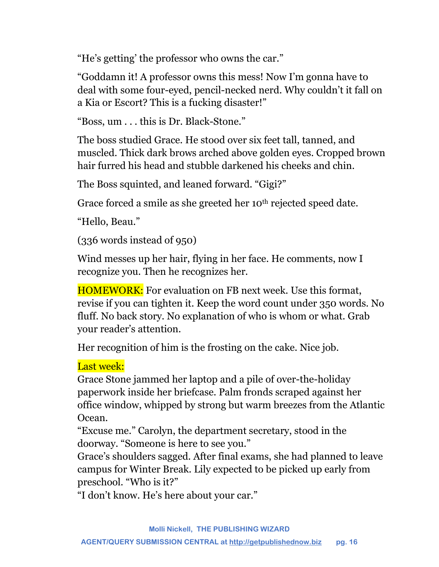"He's getting' the professor who owns the car."

"Goddamn it! A professor owns this mess! Now I'm gonna have to deal with some four-eyed, pencil-necked nerd. Why couldn't it fall on a Kia or Escort? This is a fucking disaster!"

"Boss, um . . . this is Dr. Black-Stone."

The boss studied Grace. He stood over six feet tall, tanned, and muscled. Thick dark brows arched above golden eyes. Cropped brown hair furred his head and stubble darkened his cheeks and chin.

The Boss squinted, and leaned forward. "Gigi?"

Grace forced a smile as she greeted her 10<sup>th</sup> rejected speed date.

"Hello, Beau."

(336 words instead of 950)

Wind messes up her hair, flying in her face. He comments, now I recognize you. Then he recognizes her.

HOMEWORK: For evaluation on FB next week. Use this format, revise if you can tighten it. Keep the word count under 350 words. No fluff. No back story. No explanation of who is whom or what. Grab your reader's attention.

Her recognition of him is the frosting on the cake. Nice job.

## Last week:

Grace Stone jammed her laptop and a pile of over-the-holiday paperwork inside her briefcase. Palm fronds scraped against her office window, whipped by strong but warm breezes from the Atlantic Ocean.

"Excuse me." Carolyn, the department secretary, stood in the doorway. "Someone is here to see you."

Grace's shoulders sagged. After final exams, she had planned to leave campus for Winter Break. Lily expected to be picked up early from preschool. "Who is it?"

"I don't know. He's here about your car."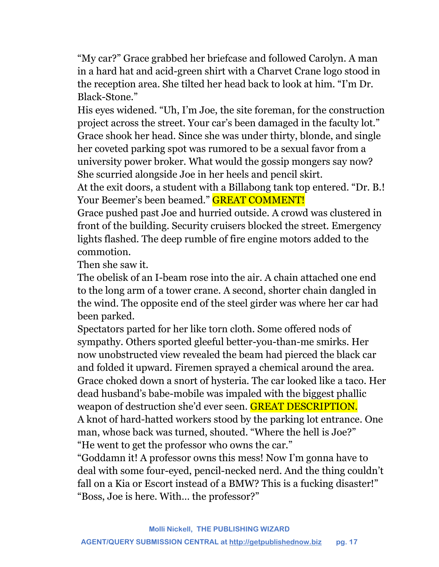"My car?" Grace grabbed her briefcase and followed Carolyn. A man in a hard hat and acid-green shirt with a Charvet Crane logo stood in the reception area. She tilted her head back to look at him. "I'm Dr. Black-Stone."

His eyes widened. "Uh, I'm Joe, the site foreman, for the construction project across the street. Your car's been damaged in the faculty lot." Grace shook her head. Since she was under thirty, blonde, and single her coveted parking spot was rumored to be a sexual favor from a university power broker. What would the gossip mongers say now? She scurried alongside Joe in her heels and pencil skirt.

At the exit doors, a student with a Billabong tank top entered. "Dr. B.! Your Beemer's been beamed." **GREAT COMMENT!** 

Grace pushed past Joe and hurried outside. A crowd was clustered in front of the building. Security cruisers blocked the street. Emergency lights flashed. The deep rumble of fire engine motors added to the commotion.

Then she saw it.

The obelisk of an I-beam rose into the air. A chain attached one end to the long arm of a tower crane. A second, shorter chain dangled in the wind. The opposite end of the steel girder was where her car had been parked.

Spectators parted for her like torn cloth. Some offered nods of sympathy. Others sported gleeful better-you-than-me smirks. Her now unobstructed view revealed the beam had pierced the black car and folded it upward. Firemen sprayed a chemical around the area. Grace choked down a snort of hysteria. The car looked like a taco. Her dead husband's babe-mobile was impaled with the biggest phallic weapon of destruction she'd ever seen. GREAT DESCRIPTION. A knot of hard-hatted workers stood by the parking lot entrance. One man, whose back was turned, shouted. "Where the hell is Joe?" "He went to get the professor who owns the car."

"Goddamn it! A professor owns this mess! Now I'm gonna have to deal with some four-eyed, pencil-necked nerd. And the thing couldn't fall on a Kia or Escort instead of a BMW? This is a fucking disaster!" "Boss, Joe is here. With… the professor?"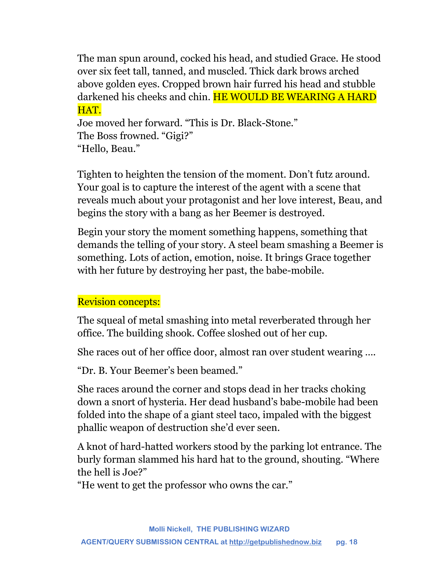The man spun around, cocked his head, and studied Grace. He stood over six feet tall, tanned, and muscled. Thick dark brows arched above golden eyes. Cropped brown hair furred his head and stubble darkened his cheeks and chin. HE WOULD BE WEARING A HARD HAT.

Joe moved her forward. "This is Dr. Black-Stone." The Boss frowned. "Gigi?" "Hello, Beau."

Tighten to heighten the tension of the moment. Don't futz around. Your goal is to capture the interest of the agent with a scene that reveals much about your protagonist and her love interest, Beau, and begins the story with a bang as her Beemer is destroyed.

Begin your story the moment something happens, something that demands the telling of your story. A steel beam smashing a Beemer is something. Lots of action, emotion, noise. It brings Grace together with her future by destroying her past, the babe-mobile.

## Revision concepts:

The squeal of metal smashing into metal reverberated through her office. The building shook. Coffee sloshed out of her cup.

She races out of her office door, almost ran over student wearing ….

"Dr. B. Your Beemer's been beamed."

She races around the corner and stops dead in her tracks choking down a snort of hysteria. Her dead husband's babe-mobile had been folded into the shape of a giant steel taco, impaled with the biggest phallic weapon of destruction she'd ever seen.

A knot of hard-hatted workers stood by the parking lot entrance. The burly forman slammed his hard hat to the ground, shouting. "Where the hell is Joe?"

"He went to get the professor who owns the car."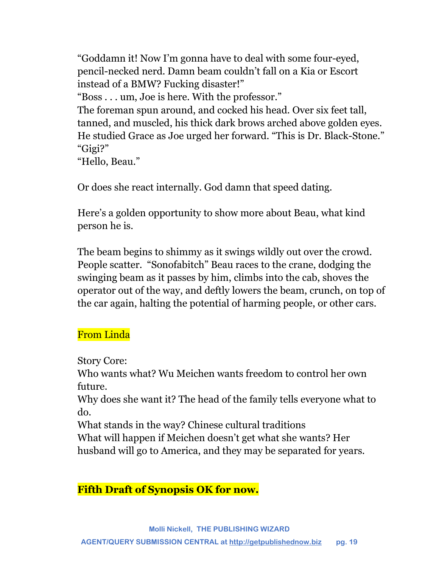"Goddamn it! Now I'm gonna have to deal with some four-eyed, pencil-necked nerd. Damn beam couldn't fall on a Kia or Escort instead of a BMW? Fucking disaster!" "Boss . . . um, Joe is here. With the professor." The foreman spun around, and cocked his head. Over six feet tall, tanned, and muscled, his thick dark brows arched above golden eyes. He studied Grace as Joe urged her forward. "This is Dr. Black-Stone." "Gigi?" "Hello, Beau."

Or does she react internally. God damn that speed dating.

Here's a golden opportunity to show more about Beau, what kind person he is.

The beam begins to shimmy as it swings wildly out over the crowd. People scatter. "Sonofabitch" Beau races to the crane, dodging the swinging beam as it passes by him, climbs into the cab, shoves the operator out of the way, and deftly lowers the beam, crunch, on top of the car again, halting the potential of harming people, or other cars.

## From Linda

Story Core:

Who wants what? Wu Meichen wants freedom to control her own future.

Why does she want it? The head of the family tells everyone what to do.

What stands in the way? Chinese cultural traditions

What will happen if Meichen doesn't get what she wants? Her husband will go to America, and they may be separated for years.

# **Fifth Draft of Synopsis OK for now.**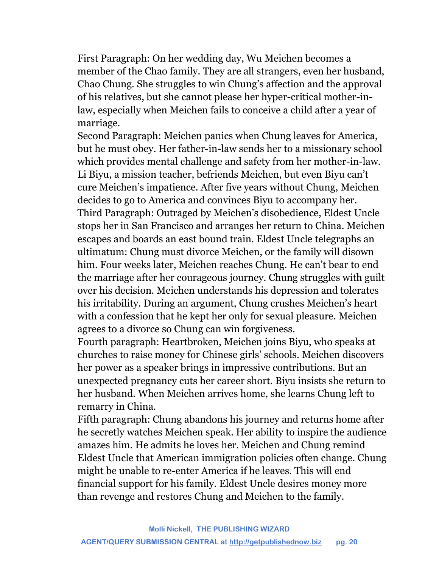First Paragraph: On her wedding day, Wu Meichen becomes a member of the Chao family. They are all strangers, even her husband, Chao Chung. She struggles to win Chung's affection and the approval of his relatives, but she cannot please her hyper-critical mother-inlaw, especially when Meichen fails to conceive a child after a year of marriage.

Second Paragraph: Meichen panics when Chung leaves for America, but he must obey. Her father-in-law sends her to a missionary school which provides mental challenge and safety from her mother-in-law. Li Biyu, a mission teacher, befriends Meichen, but even Biyu can't cure Meichen's impatience. After five years without Chung, Meichen decides to go to America and convinces Biyu to accompany her. Third Paragraph: Outraged by Meichen's disobedience, Eldest Uncle stops her in San Francisco and arranges her return to China. Meichen escapes and boards an east bound train. Eldest Uncle telegraphs an ultimatum: Chung must divorce Meichen, or the family will disown him. Four weeks later, Meichen reaches Chung. He can't bear to end the marriage after her courageous journey. Chung struggles with guilt over his decision. Meichen understands his depression and tolerates his irritability. During an argument, Chung crushes Meichen's heart with a confession that he kept her only for sexual pleasure. Meichen agrees to a divorce so Chung can win forgiveness.

Fourth paragraph: Heartbroken, Meichen joins Biyu, who speaks at churches to raise money for Chinese girls' schools. Meichen discovers her power as a speaker brings in impressive contributions. But an unexpected pregnancy cuts her career short. Biyu insists she return to her husband. When Meichen arrives home, she learns Chung left to remarry in China.

Fifth paragraph: Chung abandons his journey and returns home after he secretly watches Meichen speak. Her ability to inspire the audience amazes him. He admits he loves her. Meichen and Chung remind Eldest Uncle that American immigration policies often change. Chung might be unable to re-enter America if he leaves. This will end financial support for his family. Eldest Uncle desires money more than revenge and restores Chung and Meichen to the family.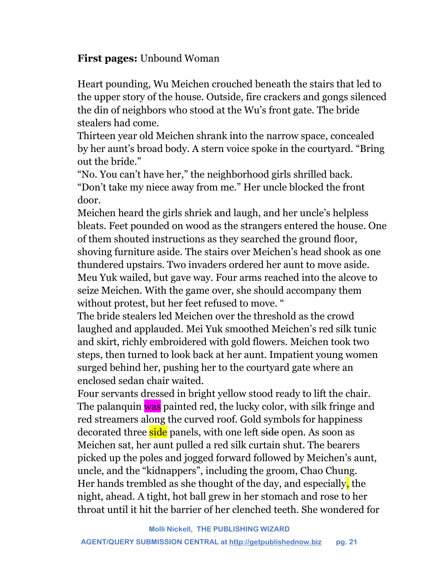## **First pages:** Unbound Woman

Heart pounding, Wu Meichen crouched beneath the stairs that led to the upper story of the house. Outside, fire crackers and gongs silenced the din of neighbors who stood at the Wu's front gate. The bride stealers had come.

Thirteen year old Meichen shrank into the narrow space, concealed by her aunt's broad body. A stern voice spoke in the courtyard. "Bring out the bride."

"No. You can't have her," the neighborhood girls shrilled back. "Don't take my niece away from me." Her uncle blocked the front door.

Meichen heard the girls shriek and laugh, and her uncle's helpless bleats. Feet pounded on wood as the strangers entered the house. One of them shouted instructions as they searched the ground floor, shoving furniture aside. The stairs over Meichen's head shook as one thundered upstairs. Two invaders ordered her aunt to move aside. Meu Yuk wailed, but gave way. Four arms reached into the alcove to seize Meichen. With the game over, she should accompany them without protest, but her feet refused to move. "

The bride stealers led Meichen over the threshold as the crowd laughed and applauded. Mei Yuk smoothed Meichen's red silk tunic and skirt, richly embroidered with gold flowers. Meichen took two steps, then turned to look back at her aunt. Impatient young women surged behind her, pushing her to the courtyard gate where an enclosed sedan chair waited.

Four servants dressed in bright yellow stood ready to lift the chair. The palanquin was painted red, the lucky color, with silk fringe and red streamers along the curved roof. Gold symbols for happiness decorated three side panels, with one left side open. As soon as Meichen sat, her aunt pulled a red silk curtain shut. The bearers picked up the poles and jogged forward followed by Meichen's aunt, uncle, and the "kidnappers", including the groom, Chao Chung. Her hands trembled as she thought of the day, and especially, the night, ahead. A tight, hot ball grew in her stomach and rose to her throat until it hit the barrier of her clenched teeth. She wondered for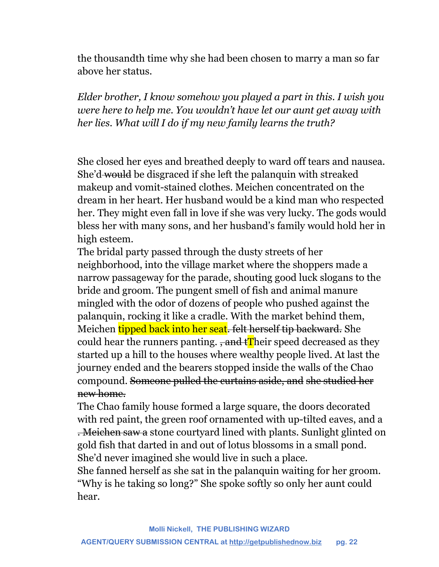the thousandth time why she had been chosen to marry a man so far above her status.

*Elder brother, I know somehow you played a part in this. I wish you were here to help me. You wouldn't have let our aunt get away with her lies. What will I do if my new family learns the truth?* 

She closed her eyes and breathed deeply to ward off tears and nausea. She'd would be disgraced if she left the palanquin with streaked makeup and vomit-stained clothes. Meichen concentrated on the dream in her heart. Her husband would be a kind man who respected her. They might even fall in love if she was very lucky. The gods would bless her with many sons, and her husband's family would hold her in high esteem.

The bridal party passed through the dusty streets of her neighborhood, into the village market where the shoppers made a narrow passageway for the parade, shouting good luck slogans to the bride and groom. The pungent smell of fish and animal manure mingled with the odor of dozens of people who pushed against the palanquin, rocking it like a cradle. With the market behind them, Meichen tipped back into her seat. felt herself tip backward. She could hear the runners panting.  $\frac{1}{2}$  and  $\frac{1}{2}$  heir speed decreased as they started up a hill to the houses where wealthy people lived. At last the journey ended and the bearers stopped inside the walls of the Chao compound. Someone pulled the curtains aside, and she studied her new home.

The Chao family house formed a large square, the doors decorated with red paint, the green roof ornamented with up-tilted eaves, and a . Meichen saw a stone courtyard lined with plants. Sunlight glinted on gold fish that darted in and out of lotus blossoms in a small pond. She'd never imagined she would live in such a place.

She fanned herself as she sat in the palanquin waiting for her groom. "Why is he taking so long?" She spoke softly so only her aunt could hear.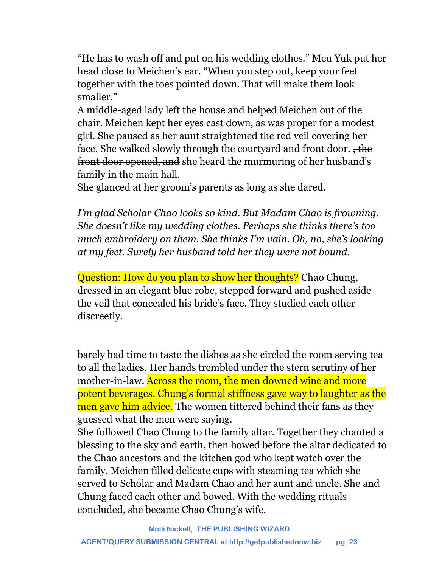"He has to wash-off and put on his wedding clothes." Meu Yuk put her head close to Meichen's ear. "When you step out, keep your feet together with the toes pointed down. That will make them look smaller."

A middle-aged lady left the house and helped Meichen out of the chair. Meichen kept her eyes cast down, as was proper for a modest girl. She paused as her aunt straightened the red veil covering her face. She walked slowly through the courtyard and front door.  $\frac{1}{100}$ front door opened, and she heard the murmuring of her husband's family in the main hall.

She glanced at her groom's parents as long as she dared.

*I'm glad Scholar Chao looks so kind. But Madam Chao is frowning. She doesn't like my wedding clothes. Perhaps she thinks there's too much embroidery on them. She thinks I'm vain. Oh, no, she's looking at my feet. Surely her husband told her they were not bound.*

Question: How do you plan to show her thoughts? Chao Chung, dressed in an elegant blue robe, stepped forward and pushed aside the veil that concealed his bride's face. They studied each other discreetly.

barely had time to taste the dishes as she circled the room serving tea to all the ladies. Her hands trembled under the stern scrutiny of her mother-in-law. Across the room, the men downed wine and more potent beverages. Chung's formal stiffness gave way to laughter as the men gave him advice. The women tittered behind their fans as they guessed what the men were saying.

She followed Chao Chung to the family altar. Together they chanted a blessing to the sky and earth, then bowed before the altar dedicated to the Chao ancestors and the kitchen god who kept watch over the family. Meichen filled delicate cups with steaming tea which she served to Scholar and Madam Chao and her aunt and uncle. She and Chung faced each other and bowed. With the wedding rituals concluded, she became Chao Chung's wife.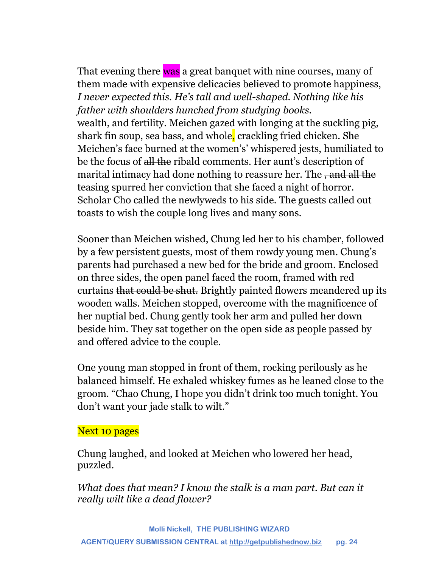That evening there was a great banquet with nine courses, many of them made with expensive delicacies believed to promote happiness, *I never expected this. He's tall and well-shaped. Nothing like his father with shoulders hunched from studying books.* wealth, and fertility. Meichen gazed with longing at the suckling pig, shark fin soup, sea bass, and whole, crackling fried chicken. She Meichen's face burned at the women's' whispered jests, humiliated to be the focus of all the ribald comments. Her aunt's description of marital intimacy had done nothing to reassure her. The , and all the teasing spurred her conviction that she faced a night of horror. Scholar Cho called the newlyweds to his side. The guests called out toasts to wish the couple long lives and many sons.

Sooner than Meichen wished, Chung led her to his chamber, followed by a few persistent guests, most of them rowdy young men. Chung's parents had purchased a new bed for the bride and groom. Enclosed on three sides, the open panel faced the room, framed with red curtains that could be shut. Brightly painted flowers meandered up its wooden walls. Meichen stopped, overcome with the magnificence of her nuptial bed. Chung gently took her arm and pulled her down beside him. They sat together on the open side as people passed by and offered advice to the couple.

One young man stopped in front of them, rocking perilously as he balanced himself. He exhaled whiskey fumes as he leaned close to the groom. "Chao Chung, I hope you didn't drink too much tonight. You don't want your jade stalk to wilt."

#### Next 10 pages

Chung laughed, and looked at Meichen who lowered her head, puzzled.

*What does that mean? I know the stalk is a man part. But can it really wilt like a dead flower?*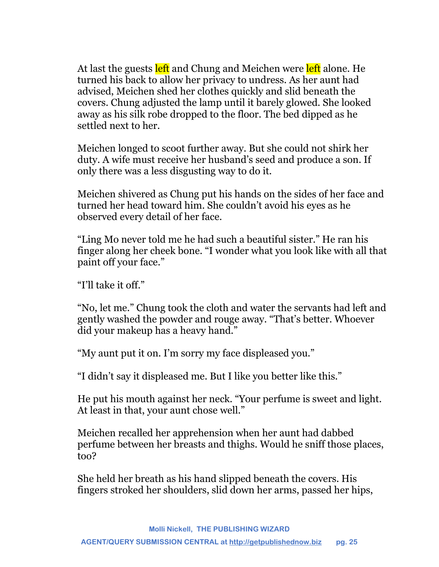At last the guests left and Chung and Meichen were left alone. He turned his back to allow her privacy to undress. As her aunt had advised, Meichen shed her clothes quickly and slid beneath the covers. Chung adjusted the lamp until it barely glowed. She looked away as his silk robe dropped to the floor. The bed dipped as he settled next to her.

Meichen longed to scoot further away. But she could not shirk her duty. A wife must receive her husband's seed and produce a son. If only there was a less disgusting way to do it.

Meichen shivered as Chung put his hands on the sides of her face and turned her head toward him. She couldn't avoid his eyes as he observed every detail of her face.

"Ling Mo never told me he had such a beautiful sister." He ran his finger along her cheek bone. "I wonder what you look like with all that paint off your face."

"I'll take it off."

"No, let me." Chung took the cloth and water the servants had left and gently washed the powder and rouge away. "That's better. Whoever did your makeup has a heavy hand."

"My aunt put it on. I'm sorry my face displeased you."

"I didn't say it displeased me. But I like you better like this."

He put his mouth against her neck. "Your perfume is sweet and light. At least in that, your aunt chose well."

Meichen recalled her apprehension when her aunt had dabbed perfume between her breasts and thighs. Would he sniff those places, too?

She held her breath as his hand slipped beneath the covers. His fingers stroked her shoulders, slid down her arms, passed her hips,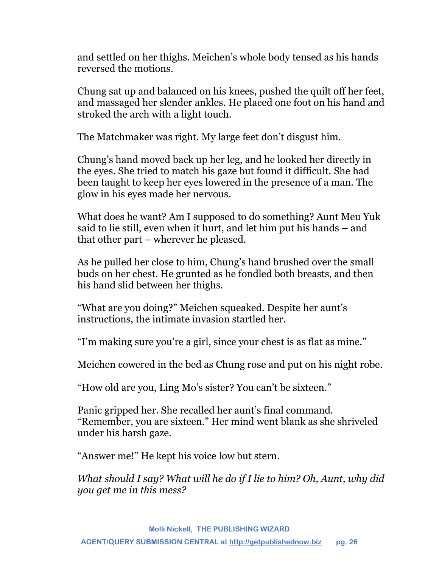and settled on her thighs. Meichen's whole body tensed as his hands reversed the motions.

Chung sat up and balanced on his knees, pushed the quilt off her feet, and massaged her slender ankles. He placed one foot on his hand and stroked the arch with a light touch.

The Matchmaker was right. My large feet don't disgust him.

Chung's hand moved back up her leg, and he looked her directly in the eyes. She tried to match his gaze but found it difficult. She had been taught to keep her eyes lowered in the presence of a man. The glow in his eyes made her nervous.

What does he want? Am I supposed to do something? Aunt Meu Yuk said to lie still, even when it hurt, and let him put his hands – and that other part – wherever he pleased.

As he pulled her close to him, Chung's hand brushed over the small buds on her chest. He grunted as he fondled both breasts, and then his hand slid between her thighs.

"What are you doing?" Meichen squeaked. Despite her aunt's instructions, the intimate invasion startled her.

"I'm making sure you're a girl, since your chest is as flat as mine."

Meichen cowered in the bed as Chung rose and put on his night robe.

"How old are you, Ling Mo's sister? You can't be sixteen."

Panic gripped her. She recalled her aunt's final command. "Remember, you are sixteen." Her mind went blank as she shriveled under his harsh gaze.

"Answer me!" He kept his voice low but stern.

*What should I say? What will he do if I lie to him? Oh, Aunt, why did you get me in this mess?*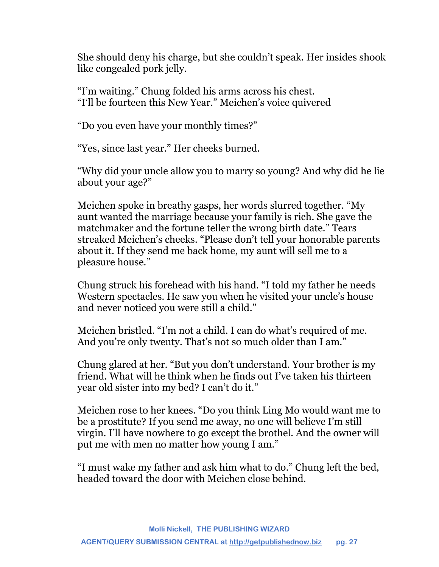She should deny his charge, but she couldn't speak. Her insides shook like congealed pork jelly.

"I'm waiting." Chung folded his arms across his chest. "I'll be fourteen this New Year." Meichen's voice quivered

"Do you even have your monthly times?"

"Yes, since last year." Her cheeks burned.

"Why did your uncle allow you to marry so young? And why did he lie about your age?"

Meichen spoke in breathy gasps, her words slurred together. "My aunt wanted the marriage because your family is rich. She gave the matchmaker and the fortune teller the wrong birth date." Tears streaked Meichen's cheeks. "Please don't tell your honorable parents about it. If they send me back home, my aunt will sell me to a pleasure house."

Chung struck his forehead with his hand. "I told my father he needs Western spectacles. He saw you when he visited your uncle's house and never noticed you were still a child."

Meichen bristled. "I'm not a child. I can do what's required of me. And you're only twenty. That's not so much older than I am."

Chung glared at her. "But you don't understand. Your brother is my friend. What will he think when he finds out I've taken his thirteen year old sister into my bed? I can't do it."

Meichen rose to her knees. "Do you think Ling Mo would want me to be a prostitute? If you send me away, no one will believe I'm still virgin. I'll have nowhere to go except the brothel. And the owner will put me with men no matter how young I am."

"I must wake my father and ask him what to do." Chung left the bed, headed toward the door with Meichen close behind.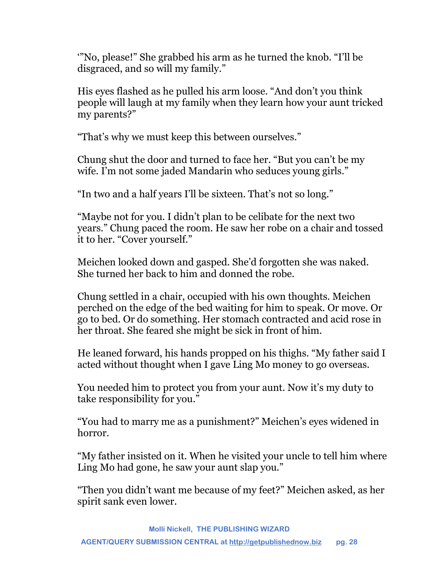'"No, please!" She grabbed his arm as he turned the knob. "I'll be disgraced, and so will my family."

His eyes flashed as he pulled his arm loose. "And don't you think people will laugh at my family when they learn how your aunt tricked my parents?"

"That's why we must keep this between ourselves."

Chung shut the door and turned to face her. "But you can't be my wife. I'm not some jaded Mandarin who seduces young girls."

"In two and a half years I'll be sixteen. That's not so long."

"Maybe not for you. I didn't plan to be celibate for the next two years." Chung paced the room. He saw her robe on a chair and tossed it to her. "Cover yourself."

Meichen looked down and gasped. She'd forgotten she was naked. She turned her back to him and donned the robe.

Chung settled in a chair, occupied with his own thoughts. Meichen perched on the edge of the bed waiting for him to speak. Or move. Or go to bed. Or do something. Her stomach contracted and acid rose in her throat. She feared she might be sick in front of him.

He leaned forward, his hands propped on his thighs. "My father said I acted without thought when I gave Ling Mo money to go overseas.

You needed him to protect you from your aunt. Now it's my duty to take responsibility for you."

"You had to marry me as a punishment?" Meichen's eyes widened in horror.

"My father insisted on it. When he visited your uncle to tell him where Ling Mo had gone, he saw your aunt slap you."

"Then you didn't want me because of my feet?" Meichen asked, as her spirit sank even lower.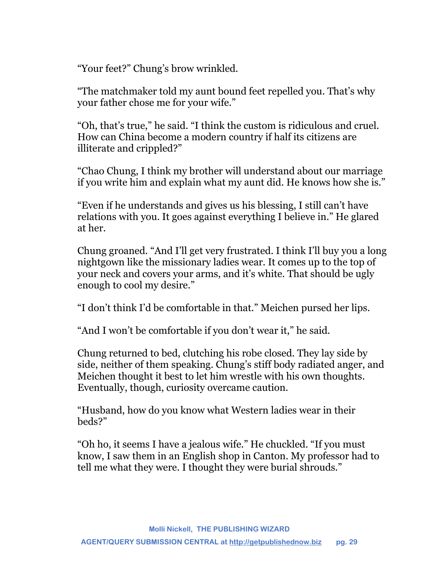"Your feet?" Chung's brow wrinkled.

"The matchmaker told my aunt bound feet repelled you. That's why your father chose me for your wife."

"Oh, that's true," he said. "I think the custom is ridiculous and cruel. How can China become a modern country if half its citizens are illiterate and crippled?"

"Chao Chung, I think my brother will understand about our marriage if you write him and explain what my aunt did. He knows how she is."

"Even if he understands and gives us his blessing, I still can't have relations with you. It goes against everything I believe in." He glared at her.

Chung groaned. "And I'll get very frustrated. I think I'll buy you a long nightgown like the missionary ladies wear. It comes up to the top of your neck and covers your arms, and it's white. That should be ugly enough to cool my desire."

"I don't think I'd be comfortable in that." Meichen pursed her lips.

"And I won't be comfortable if you don't wear it," he said.

Chung returned to bed, clutching his robe closed. They lay side by side, neither of them speaking. Chung's stiff body radiated anger, and Meichen thought it best to let him wrestle with his own thoughts. Eventually, though, curiosity overcame caution.

"Husband, how do you know what Western ladies wear in their beds?"

"Oh ho, it seems I have a jealous wife." He chuckled. "If you must know, I saw them in an English shop in Canton. My professor had to tell me what they were. I thought they were burial shrouds."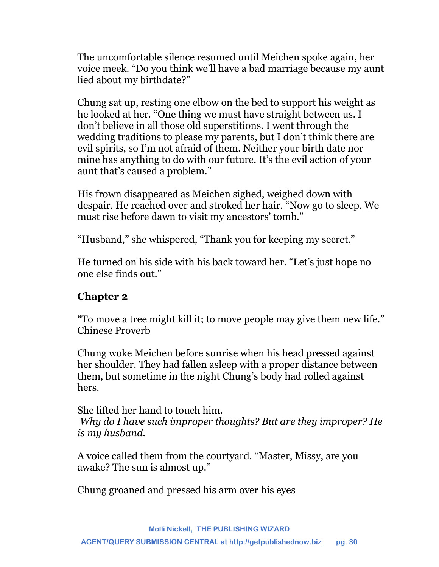The uncomfortable silence resumed until Meichen spoke again, her voice meek. "Do you think we'll have a bad marriage because my aunt lied about my birthdate?"

Chung sat up, resting one elbow on the bed to support his weight as he looked at her. "One thing we must have straight between us. I don't believe in all those old superstitions. I went through the wedding traditions to please my parents, but I don't think there are evil spirits, so I'm not afraid of them. Neither your birth date nor mine has anything to do with our future. It's the evil action of your aunt that's caused a problem."

His frown disappeared as Meichen sighed, weighed down with despair. He reached over and stroked her hair. "Now go to sleep. We must rise before dawn to visit my ancestors' tomb."

"Husband," she whispered, "Thank you for keeping my secret."

He turned on his side with his back toward her. "Let's just hope no one else finds out."

## **Chapter 2**

"To move a tree might kill it; to move people may give them new life." Chinese Proverb

Chung woke Meichen before sunrise when his head pressed against her shoulder. They had fallen asleep with a proper distance between them, but sometime in the night Chung's body had rolled against hers.

She lifted her hand to touch him*. Why do I have such improper thoughts? But are they improper? He is my husband.* 

A voice called them from the courtyard. "Master, Missy, are you awake? The sun is almost up."

Chung groaned and pressed his arm over his eyes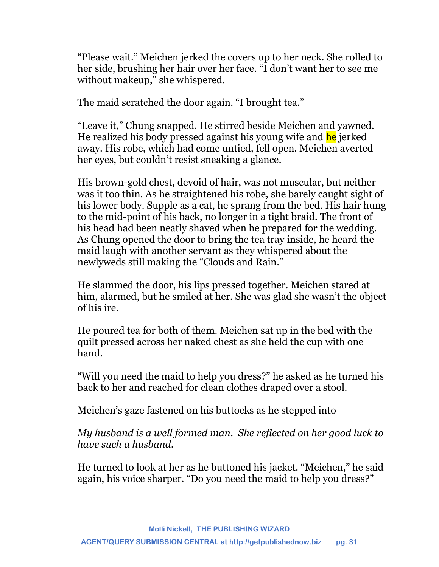"Please wait." Meichen jerked the covers up to her neck. She rolled to her side, brushing her hair over her face. "I don't want her to see me without makeup," she whispered.

The maid scratched the door again. "I brought tea."

"Leave it," Chung snapped. He stirred beside Meichen and yawned. He realized his body pressed against his young wife and he jerked away. His robe, which had come untied, fell open. Meichen averted her eyes, but couldn't resist sneaking a glance.

His brown-gold chest, devoid of hair, was not muscular, but neither was it too thin. As he straightened his robe, she barely caught sight of his lower body. Supple as a cat, he sprang from the bed. His hair hung to the mid-point of his back, no longer in a tight braid. The front of his head had been neatly shaved when he prepared for the wedding. As Chung opened the door to bring the tea tray inside, he heard the maid laugh with another servant as they whispered about the newlyweds still making the "Clouds and Rain."

He slammed the door, his lips pressed together. Meichen stared at him, alarmed, but he smiled at her. She was glad she wasn't the object of his ire.

He poured tea for both of them. Meichen sat up in the bed with the quilt pressed across her naked chest as she held the cup with one hand.

"Will you need the maid to help you dress?" he asked as he turned his back to her and reached for clean clothes draped over a stool.

Meichen's gaze fastened on his buttocks as he stepped into

*My husband is a well formed man. She reflected on her good luck to have such a husband.* 

He turned to look at her as he buttoned his jacket. "Meichen," he said again, his voice sharper. "Do you need the maid to help you dress?"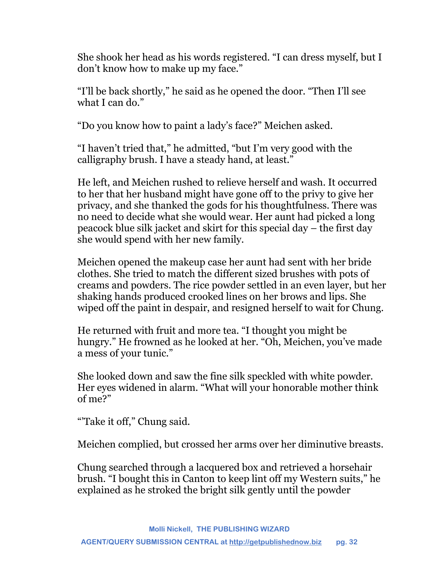She shook her head as his words registered. "I can dress myself, but I don't know how to make up my face."

"I'll be back shortly," he said as he opened the door. "Then I'll see what I can do."

"Do you know how to paint a lady's face?" Meichen asked.

"I haven't tried that," he admitted, "but I'm very good with the calligraphy brush. I have a steady hand, at least."

He left, and Meichen rushed to relieve herself and wash. It occurred to her that her husband might have gone off to the privy to give her privacy, and she thanked the gods for his thoughtfulness. There was no need to decide what she would wear. Her aunt had picked a long peacock blue silk jacket and skirt for this special day – the first day she would spend with her new family.

Meichen opened the makeup case her aunt had sent with her bride clothes. She tried to match the different sized brushes with pots of creams and powders. The rice powder settled in an even layer, but her shaking hands produced crooked lines on her brows and lips. She wiped off the paint in despair, and resigned herself to wait for Chung.

He returned with fruit and more tea. "I thought you might be hungry." He frowned as he looked at her. "Oh, Meichen, you've made a mess of your tunic."

She looked down and saw the fine silk speckled with white powder. Her eyes widened in alarm. "What will your honorable mother think of me?"

"Take it off," Chung said.

Meichen complied, but crossed her arms over her diminutive breasts.

Chung searched through a lacquered box and retrieved a horsehair brush. "I bought this in Canton to keep lint off my Western suits," he explained as he stroked the bright silk gently until the powder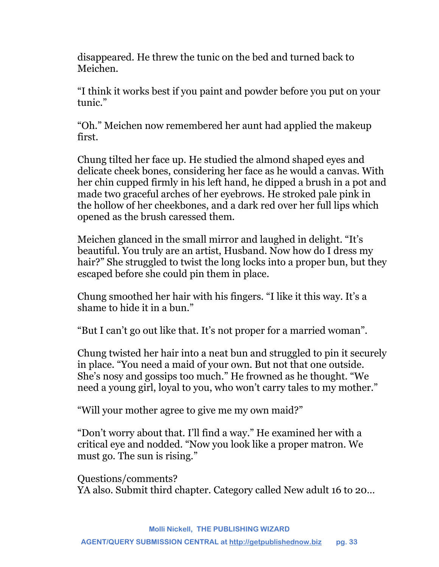disappeared. He threw the tunic on the bed and turned back to Meichen.

"I think it works best if you paint and powder before you put on your tunic."

"Oh." Meichen now remembered her aunt had applied the makeup first.

Chung tilted her face up. He studied the almond shaped eyes and delicate cheek bones, considering her face as he would a canvas. With her chin cupped firmly in his left hand, he dipped a brush in a pot and made two graceful arches of her eyebrows. He stroked pale pink in the hollow of her cheekbones, and a dark red over her full lips which opened as the brush caressed them.

Meichen glanced in the small mirror and laughed in delight. "It's beautiful. You truly are an artist, Husband. Now how do I dress my hair?" She struggled to twist the long locks into a proper bun, but they escaped before she could pin them in place.

Chung smoothed her hair with his fingers. "I like it this way. It's a shame to hide it in a bun."

"But I can't go out like that. It's not proper for a married woman".

Chung twisted her hair into a neat bun and struggled to pin it securely in place. "You need a maid of your own. But not that one outside. She's nosy and gossips too much." He frowned as he thought. "We need a young girl, loyal to you, who won't carry tales to my mother."

"Will your mother agree to give me my own maid?"

"Don't worry about that. I'll find a way." He examined her with a critical eye and nodded. "Now you look like a proper matron. We must go. The sun is rising."

Questions/comments? YA also. Submit third chapter. Category called New adult 16 to 20…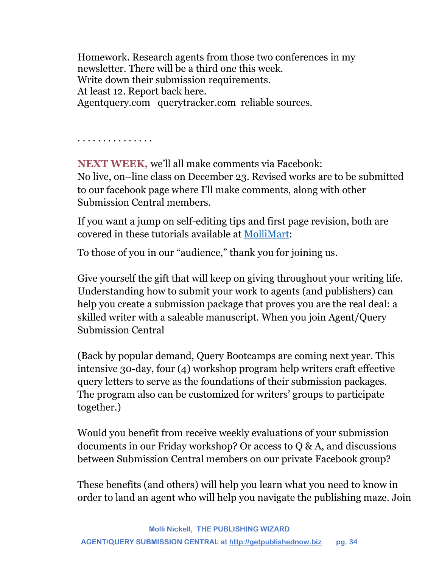Homework. Research agents from those two conferences in my newsletter. There will be a third one this week. Write down their submission requirements. At least 12. Report back here. Agentquery.com querytracker.com reliable sources.

. . . . . . . . . . . . . . .

**NEXT WEEK,** we'll all make comments via Facebook: No live, on–line class on December 23. Revised works are to be submitted to our facebook page where I'll make comments, along with other Submission Central members.

If you want a jump on self-editing tips and first page revision, both are covered in these tutorials available at [MolliMart:](http://www.getpublishednow.biz/mollimart.html)

To those of you in our "audience," thank you for joining us.

Give yourself the gift that will keep on giving throughout your writing life. Understanding how to submit your work to agents (and publishers) can help you create a submission package that proves you are the real deal: a skilled writer with a saleable manuscript. When you join Agent/Query Submission Central

(Back by popular demand, Query Bootcamps are coming next year. This intensive 30-day, four (4) workshop program help writers craft effective query letters to serve as the foundations of their submission packages. The program also can be customized for writers' groups to participate together.)

Would you benefit from receive weekly evaluations of your submission documents in our Friday workshop? Or access to Q & A, and discussions between Submission Central members on our private Facebook group?

These benefits (and others) will help you learn what you need to know in order to land an agent who will help you navigate the publishing maze. Join